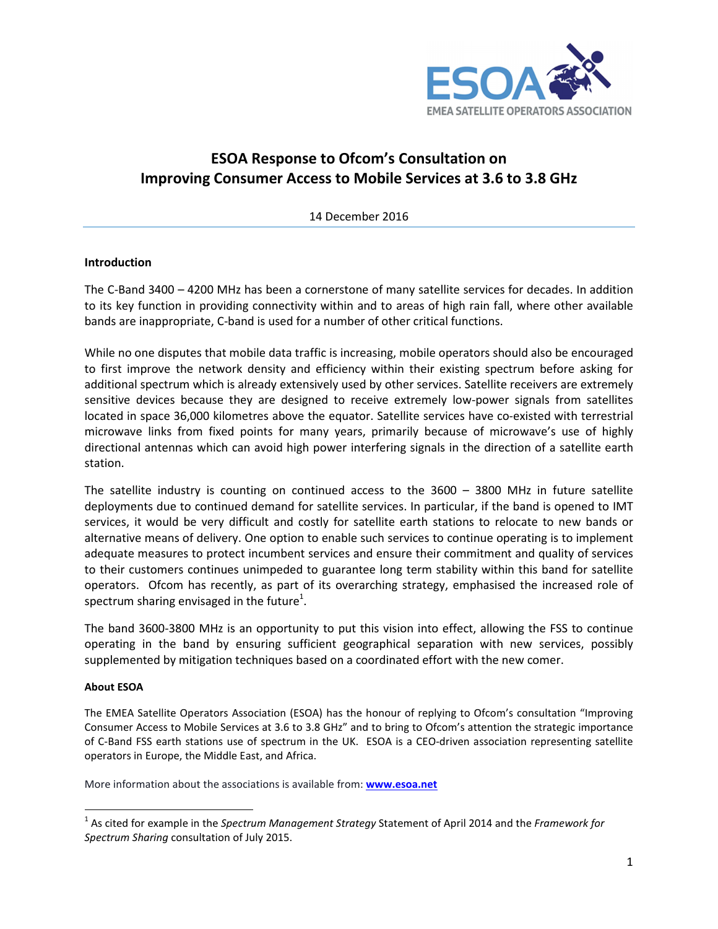

# **ESOA Response to Ofcom's Consultation on Improving Consumer Access to Mobile Services at 3.6 to 3.8 GHz**

14 December 2016

#### **Introduction**

The C-Band 3400 – 4200 MHz has been a cornerstone of many satellite services for decades. In addition to its key function in providing connectivity within and to areas of high rain fall, where other available bands are inappropriate, C-band is used for a number of other critical functions.

While no one disputes that mobile data traffic is increasing, mobile operators should also be encouraged to first improve the network density and efficiency within their existing spectrum before asking for additional spectrum which is already extensively used by other services. Satellite receivers are extremely sensitive devices because they are designed to receive extremely low-power signals from satellites located in space 36,000 kilometres above the equator. Satellite services have co-existed with terrestrial microwave links from fixed points for many years, primarily because of microwave's use of highly directional antennas which can avoid high power interfering signals in the direction of a satellite earth station.

The satellite industry is counting on continued access to the 3600 – 3800 MHz in future satellite deployments due to continued demand for satellite services. In particular, if the band is opened to IMT services, it would be very difficult and costly for satellite earth stations to relocate to new bands or alternative means of delivery. One option to enable such services to continue operating is to implement adequate measures to protect incumbent services and ensure their commitment and quality of services to their customers continues unimpeded to guarantee long term stability within this band for satellite operators. Ofcom has recently, as part of its overarching strategy, emphasised the increased role of spectrum sharing envisaged in the future<sup>1</sup>.

The band 3600-3800 MHz is an opportunity to put this vision into effect, allowing the FSS to continue operating in the band by ensuring sufficient geographical separation with new services, possibly supplemented by mitigation techniques based on a coordinated effort with the new comer.

#### **About ESOA**

 $\overline{\phantom{0}}$ 

The EMEA Satellite Operators Association (ESOA) has the honour of replying to Ofcom's consultation "Improving Consumer Access to Mobile Services at 3.6 to 3.8 GHz" and to bring to Ofcom's attention the strategic importance of C-Band FSS earth stations use of spectrum in the UK. ESOA is a CEO-driven association representing satellite operators in Europe, the Middle East, and Africa.

More information about the associations is available from: **www.esoa.net**

<sup>1</sup> As cited for example in the *Spectrum Management Strategy* Statement of April 2014 and the *Framework for Spectrum Sharing* consultation of July 2015.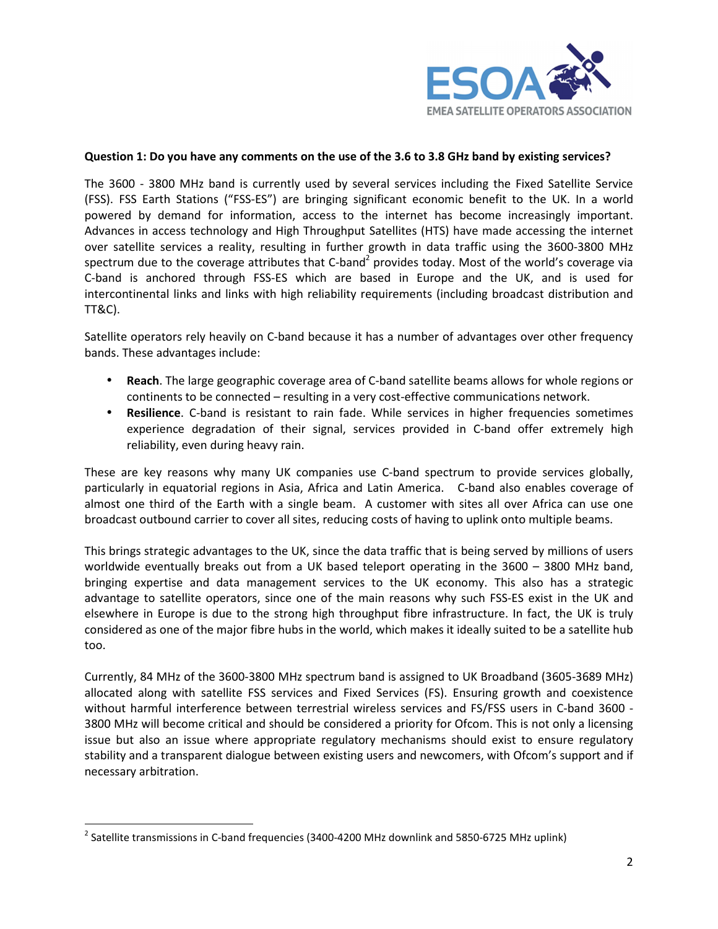

#### **Question 1: Do you have any comments on the use of the 3.6 to 3.8 GHz band by existing services?**

The 3600 - 3800 MHz band is currently used by several services including the Fixed Satellite Service (FSS). FSS Earth Stations ("FSS-ES") are bringing significant economic benefit to the UK. In a world powered by demand for information, access to the internet has become increasingly important. Advances in access technology and High Throughput Satellites (HTS) have made accessing the internet over satellite services a reality, resulting in further growth in data traffic using the 3600-3800 MHz spectrum due to the coverage attributes that C-band<sup>2</sup> provides today. Most of the world's coverage via C-band is anchored through FSS-ES which are based in Europe and the UK, and is used for intercontinental links and links with high reliability requirements (including broadcast distribution and TT&C).

Satellite operators rely heavily on C-band because it has a number of advantages over other frequency bands. These advantages include:

- **Reach**. The large geographic coverage area of C-band satellite beams allows for whole regions or continents to be connected – resulting in a very cost-effective communications network.
- **Resilience**. C-band is resistant to rain fade. While services in higher frequencies sometimes experience degradation of their signal, services provided in C-band offer extremely high reliability, even during heavy rain.

These are key reasons why many UK companies use C-band spectrum to provide services globally, particularly in equatorial regions in Asia, Africa and Latin America. C-band also enables coverage of almost one third of the Earth with a single beam. A customer with sites all over Africa can use one broadcast outbound carrier to cover all sites, reducing costs of having to uplink onto multiple beams.

This brings strategic advantages to the UK, since the data traffic that is being served by millions of users worldwide eventually breaks out from a UK based teleport operating in the 3600 – 3800 MHz band, bringing expertise and data management services to the UK economy. This also has a strategic advantage to satellite operators, since one of the main reasons why such FSS-ES exist in the UK and elsewhere in Europe is due to the strong high throughput fibre infrastructure. In fact, the UK is truly considered as one of the major fibre hubs in the world, which makes it ideally suited to be a satellite hub too.

Currently, 84 MHz of the 3600-3800 MHz spectrum band is assigned to UK Broadband (3605-3689 MHz) allocated along with satellite FSS services and Fixed Services (FS). Ensuring growth and coexistence without harmful interference between terrestrial wireless services and FS/FSS users in C-band 3600 - 3800 MHz will become critical and should be considered a priority for Ofcom. This is not only a licensing issue but also an issue where appropriate regulatory mechanisms should exist to ensure regulatory stability and a transparent dialogue between existing users and newcomers, with Ofcom's support and if necessary arbitration.

l

 $^2$  Satellite transmissions in C-band frequencies (3400-4200 MHz downlink and 5850-6725 MHz uplink)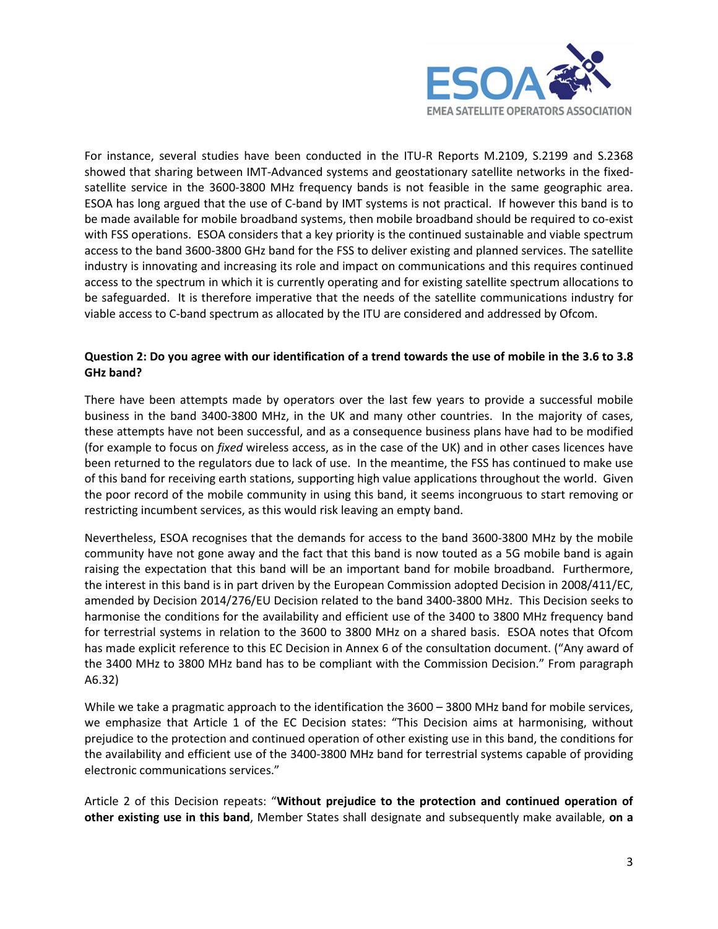

For instance, several studies have been conducted in the ITU-R Reports M.2109, S.2199 and S.2368 showed that sharing between IMT-Advanced systems and geostationary satellite networks in the fixedsatellite service in the 3600-3800 MHz frequency bands is not feasible in the same geographic area. ESOA has long argued that the use of C-band by IMT systems is not practical. If however this band is to be made available for mobile broadband systems, then mobile broadband should be required to co-exist with FSS operations. ESOA considers that a key priority is the continued sustainable and viable spectrum access to the band 3600-3800 GHz band for the FSS to deliver existing and planned services. The satellite industry is innovating and increasing its role and impact on communications and this requires continued access to the spectrum in which it is currently operating and for existing satellite spectrum allocations to be safeguarded. It is therefore imperative that the needs of the satellite communications industry for viable access to C-band spectrum as allocated by the ITU are considered and addressed by Ofcom.

# **Question 2: Do you agree with our identification of a trend towards the use of mobile in the 3.6 to 3.8 GHz band?**

There have been attempts made by operators over the last few years to provide a successful mobile business in the band 3400-3800 MHz, in the UK and many other countries. In the majority of cases, these attempts have not been successful, and as a consequence business plans have had to be modified (for example to focus on *fixed* wireless access, as in the case of the UK) and in other cases licences have been returned to the regulators due to lack of use. In the meantime, the FSS has continued to make use of this band for receiving earth stations, supporting high value applications throughout the world. Given the poor record of the mobile community in using this band, it seems incongruous to start removing or restricting incumbent services, as this would risk leaving an empty band.

Nevertheless, ESOA recognises that the demands for access to the band 3600-3800 MHz by the mobile community have not gone away and the fact that this band is now touted as a 5G mobile band is again raising the expectation that this band will be an important band for mobile broadband. Furthermore, the interest in this band is in part driven by the European Commission adopted Decision in 2008/411/EC, amended by Decision 2014/276/EU Decision related to the band 3400-3800 MHz. This Decision seeks to harmonise the conditions for the availability and efficient use of the 3400 to 3800 MHz frequency band for terrestrial systems in relation to the 3600 to 3800 MHz on a shared basis. ESOA notes that Ofcom has made explicit reference to this EC Decision in Annex 6 of the consultation document. ("Any award of the 3400 MHz to 3800 MHz band has to be compliant with the Commission Decision." From paragraph A6.32)

While we take a pragmatic approach to the identification the 3600 – 3800 MHz band for mobile services, we emphasize that Article 1 of the EC Decision states: "This Decision aims at harmonising, without prejudice to the protection and continued operation of other existing use in this band, the conditions for the availability and efficient use of the 3400-3800 MHz band for terrestrial systems capable of providing electronic communications services."

Article 2 of this Decision repeats: "**Without prejudice to the protection and continued operation of other existing use in this band**, Member States shall designate and subsequently make available, **on a**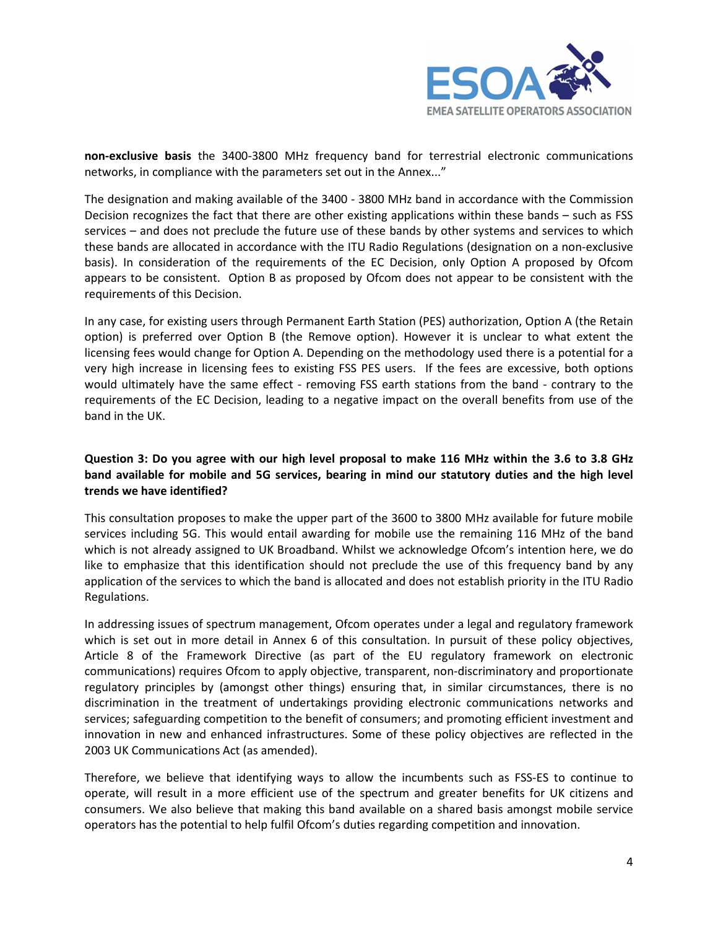

**non-exclusive basis** the 3400-3800 MHz frequency band for terrestrial electronic communications networks, in compliance with the parameters set out in the Annex..."

The designation and making available of the 3400 - 3800 MHz band in accordance with the Commission Decision recognizes the fact that there are other existing applications within these bands – such as FSS services – and does not preclude the future use of these bands by other systems and services to which these bands are allocated in accordance with the ITU Radio Regulations (designation on a non-exclusive basis). In consideration of the requirements of the EC Decision, only Option A proposed by Ofcom appears to be consistent. Option B as proposed by Ofcom does not appear to be consistent with the requirements of this Decision.

In any case, for existing users through Permanent Earth Station (PES) authorization, Option A (the Retain option) is preferred over Option B (the Remove option). However it is unclear to what extent the licensing fees would change for Option A. Depending on the methodology used there is a potential for a very high increase in licensing fees to existing FSS PES users. If the fees are excessive, both options would ultimately have the same effect - removing FSS earth stations from the band - contrary to the requirements of the EC Decision, leading to a negative impact on the overall benefits from use of the band in the UK.

# **Question 3: Do you agree with our high level proposal to make 116 MHz within the 3.6 to 3.8 GHz band available for mobile and 5G services, bearing in mind our statutory duties and the high level trends we have identified?**

This consultation proposes to make the upper part of the 3600 to 3800 MHz available for future mobile services including 5G. This would entail awarding for mobile use the remaining 116 MHz of the band which is not already assigned to UK Broadband. Whilst we acknowledge Ofcom's intention here, we do like to emphasize that this identification should not preclude the use of this frequency band by any application of the services to which the band is allocated and does not establish priority in the ITU Radio Regulations.

In addressing issues of spectrum management, Ofcom operates under a legal and regulatory framework which is set out in more detail in Annex 6 of this consultation. In pursuit of these policy objectives, Article 8 of the Framework Directive (as part of the EU regulatory framework on electronic communications) requires Ofcom to apply objective, transparent, non-discriminatory and proportionate regulatory principles by (amongst other things) ensuring that, in similar circumstances, there is no discrimination in the treatment of undertakings providing electronic communications networks and services; safeguarding competition to the benefit of consumers; and promoting efficient investment and innovation in new and enhanced infrastructures. Some of these policy objectives are reflected in the 2003 UK Communications Act (as amended).

Therefore, we believe that identifying ways to allow the incumbents such as FSS-ES to continue to operate, will result in a more efficient use of the spectrum and greater benefits for UK citizens and consumers. We also believe that making this band available on a shared basis amongst mobile service operators has the potential to help fulfil Ofcom's duties regarding competition and innovation.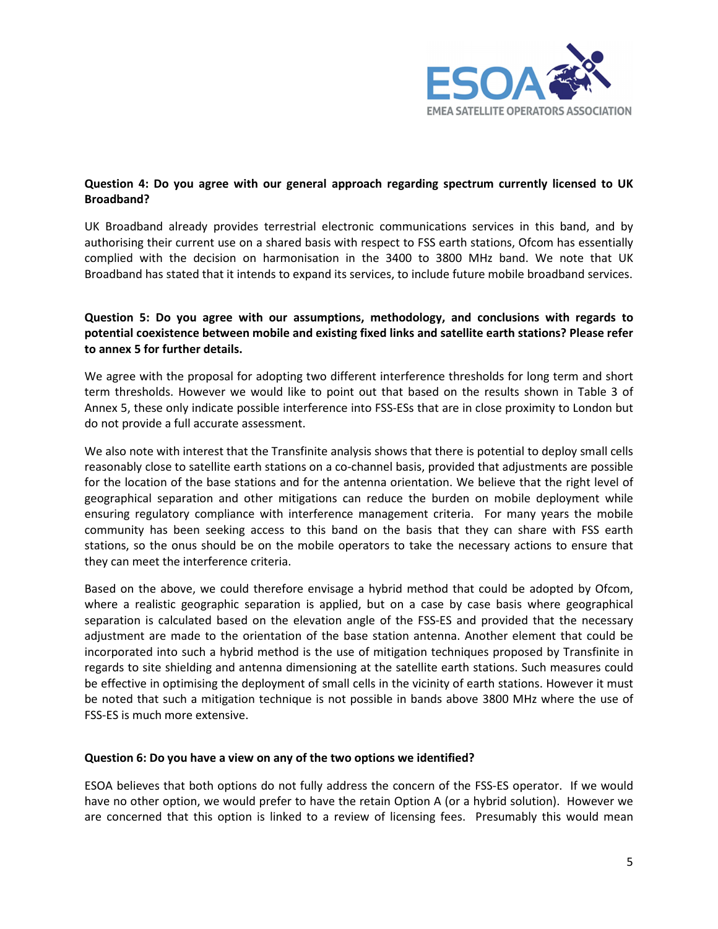

# **Question 4: Do you agree with our general approach regarding spectrum currently licensed to UK Broadband?**

UK Broadband already provides terrestrial electronic communications services in this band, and by authorising their current use on a shared basis with respect to FSS earth stations, Ofcom has essentially complied with the decision on harmonisation in the 3400 to 3800 MHz band. We note that UK Broadband has stated that it intends to expand its services, to include future mobile broadband services.

# **Question 5: Do you agree with our assumptions, methodology, and conclusions with regards to potential coexistence between mobile and existing fixed links and satellite earth stations? Please refer to annex 5 for further details.**

We agree with the proposal for adopting two different interference thresholds for long term and short term thresholds. However we would like to point out that based on the results shown in Table 3 of Annex 5, these only indicate possible interference into FSS-ESs that are in close proximity to London but do not provide a full accurate assessment.

We also note with interest that the Transfinite analysis shows that there is potential to deploy small cells reasonably close to satellite earth stations on a co-channel basis, provided that adjustments are possible for the location of the base stations and for the antenna orientation. We believe that the right level of geographical separation and other mitigations can reduce the burden on mobile deployment while ensuring regulatory compliance with interference management criteria. For many years the mobile community has been seeking access to this band on the basis that they can share with FSS earth stations, so the onus should be on the mobile operators to take the necessary actions to ensure that they can meet the interference criteria.

Based on the above, we could therefore envisage a hybrid method that could be adopted by Ofcom, where a realistic geographic separation is applied, but on a case by case basis where geographical separation is calculated based on the elevation angle of the FSS-ES and provided that the necessary adjustment are made to the orientation of the base station antenna. Another element that could be incorporated into such a hybrid method is the use of mitigation techniques proposed by Transfinite in regards to site shielding and antenna dimensioning at the satellite earth stations. Such measures could be effective in optimising the deployment of small cells in the vicinity of earth stations. However it must be noted that such a mitigation technique is not possible in bands above 3800 MHz where the use of FSS-ES is much more extensive.

#### **Question 6: Do you have a view on any of the two options we identified?**

ESOA believes that both options do not fully address the concern of the FSS-ES operator. If we would have no other option, we would prefer to have the retain Option A (or a hybrid solution). However we are concerned that this option is linked to a review of licensing fees. Presumably this would mean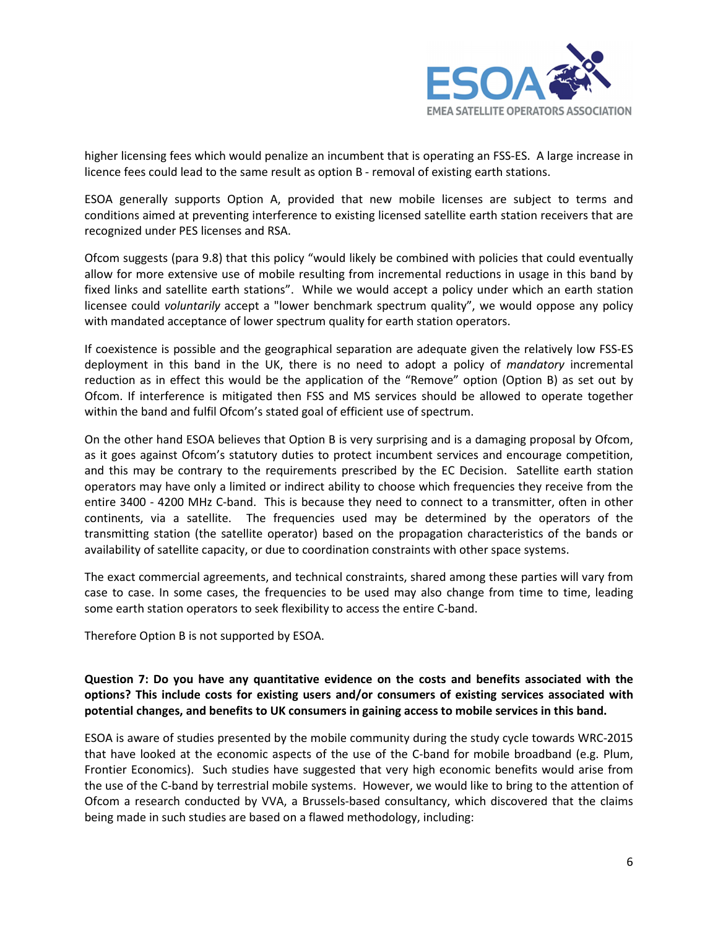

higher licensing fees which would penalize an incumbent that is operating an FSS-ES. A large increase in licence fees could lead to the same result as option B - removal of existing earth stations.

ESOA generally supports Option A, provided that new mobile licenses are subject to terms and conditions aimed at preventing interference to existing licensed satellite earth station receivers that are recognized under PES licenses and RSA.

Ofcom suggests (para 9.8) that this policy "would likely be combined with policies that could eventually allow for more extensive use of mobile resulting from incremental reductions in usage in this band by fixed links and satellite earth stations". While we would accept a policy under which an earth station licensee could *voluntarily* accept a "lower benchmark spectrum quality", we would oppose any policy with mandated acceptance of lower spectrum quality for earth station operators.

If coexistence is possible and the geographical separation are adequate given the relatively low FSS-ES deployment in this band in the UK, there is no need to adopt a policy of *mandatory* incremental reduction as in effect this would be the application of the "Remove" option (Option B) as set out by Ofcom. If interference is mitigated then FSS and MS services should be allowed to operate together within the band and fulfil Ofcom's stated goal of efficient use of spectrum.

On the other hand ESOA believes that Option B is very surprising and is a damaging proposal by Ofcom, as it goes against Ofcom's statutory duties to protect incumbent services and encourage competition, and this may be contrary to the requirements prescribed by the EC Decision. Satellite earth station operators may have only a limited or indirect ability to choose which frequencies they receive from the entire 3400 - 4200 MHz C-band. This is because they need to connect to a transmitter, often in other continents, via a satellite. The frequencies used may be determined by the operators of the transmitting station (the satellite operator) based on the propagation characteristics of the bands or availability of satellite capacity, or due to coordination constraints with other space systems.

The exact commercial agreements, and technical constraints, shared among these parties will vary from case to case. In some cases, the frequencies to be used may also change from time to time, leading some earth station operators to seek flexibility to access the entire C-band.

Therefore Option B is not supported by ESOA.

# **Question 7: Do you have any quantitative evidence on the costs and benefits associated with the options? This include costs for existing users and/or consumers of existing services associated with potential changes, and benefits to UK consumers in gaining access to mobile services in this band.**

ESOA is aware of studies presented by the mobile community during the study cycle towards WRC-2015 that have looked at the economic aspects of the use of the C-band for mobile broadband (e.g. Plum, Frontier Economics). Such studies have suggested that very high economic benefits would arise from the use of the C-band by terrestrial mobile systems. However, we would like to bring to the attention of Ofcom a research conducted by VVA, a Brussels-based consultancy, which discovered that the claims being made in such studies are based on a flawed methodology, including: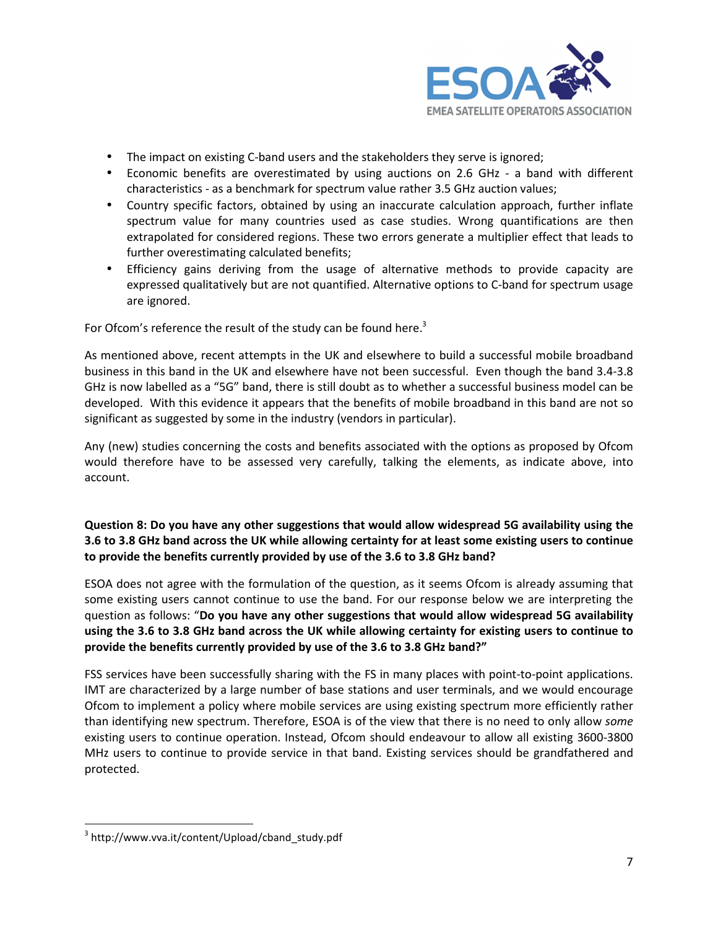

- The impact on existing C-band users and the stakeholders they serve is ignored;
- Economic benefits are overestimated by using auctions on 2.6 GHz a band with different characteristics - as a benchmark for spectrum value rather 3.5 GHz auction values;
- Country specific factors, obtained by using an inaccurate calculation approach, further inflate spectrum value for many countries used as case studies. Wrong quantifications are then extrapolated for considered regions. These two errors generate a multiplier effect that leads to further overestimating calculated benefits;
- Efficiency gains deriving from the usage of alternative methods to provide capacity are expressed qualitatively but are not quantified. Alternative options to C-band for spectrum usage are ignored.

For Ofcom's reference the result of the study can be found here.<sup>3</sup>

As mentioned above, recent attempts in the UK and elsewhere to build a successful mobile broadband business in this band in the UK and elsewhere have not been successful. Even though the band 3.4-3.8 GHz is now labelled as a "5G" band, there is still doubt as to whether a successful business model can be developed. With this evidence it appears that the benefits of mobile broadband in this band are not so significant as suggested by some in the industry (vendors in particular).

Any (new) studies concerning the costs and benefits associated with the options as proposed by Ofcom would therefore have to be assessed very carefully, talking the elements, as indicate above, into account.

# **Question 8: Do you have any other suggestions that would allow widespread 5G availability using the 3.6 to 3.8 GHz band across the UK while allowing certainty for at least some existing users to continue to provide the benefits currently provided by use of the 3.6 to 3.8 GHz band?**

ESOA does not agree with the formulation of the question, as it seems Ofcom is already assuming that some existing users cannot continue to use the band. For our response below we are interpreting the question as follows: "**Do you have any other suggestions that would allow widespread 5G availability using the 3.6 to 3.8 GHz band across the UK while allowing certainty for existing users to continue to provide the benefits currently provided by use of the 3.6 to 3.8 GHz band?"**

FSS services have been successfully sharing with the FS in many places with point-to-point applications. IMT are characterized by a large number of base stations and user terminals, and we would encourage Ofcom to implement a policy where mobile services are using existing spectrum more efficiently rather than identifying new spectrum. Therefore, ESOA is of the view that there is no need to only allow *some* existing users to continue operation. Instead, Ofcom should endeavour to allow all existing 3600-3800 MHz users to continue to provide service in that band. Existing services should be grandfathered and protected.

l

<sup>3</sup> http://www.vva.it/content/Upload/cband\_study.pdf